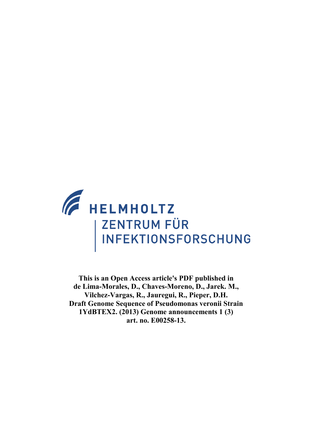

**This is an Open Access article's PDF published in de Lima-Morales, D., Chaves-Moreno, D., Jarek. M., Vilchez-Vargas, R., Jauregui, R., Pieper, D.H. Draft Genome Sequence of Pseudomonas veronii Strain 1YdBTEX2. (2013) Genome announcements 1 (3) art. no. E00258-13.**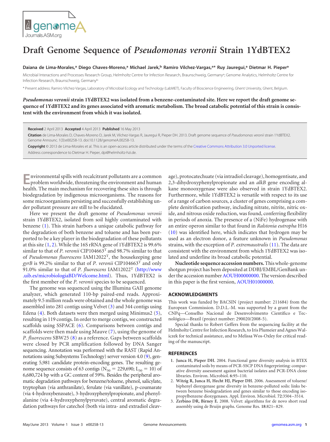

## <span id="page-1-3"></span>**Draft Genome Sequence of** *Pseudomonas veronii* **Strain 1YdBTEX2**

## **Daiana de Lima-Morales, <sup>a</sup> Diego Chaves-Moreno, <sup>a</sup> Michael Jarek, <sup>b</sup> Ramiro Vilchez-Vargas, a\* Ruy Jauregui, <sup>a</sup> Dietmar H. Piepera**

Microbial Interactions and Processes Research Group, Helmholtz Centre for Infection Research, Braunschweig, Germany<sup>a</sup>; Genome Analytics, Helmholtz Centre for Infection Research, Braunschweig, Germanyb

\* Present address: Ramiro Vilchez-Vargas, Laboratory of Microbial Ecology and Technology (LabMET), Faculty of Bioscience Engineering, Ghent University, Ghent, Belgium.

*Pseudomonas veronii* **strain 1YdBTEX2 was isolated from a benzene-contaminated site. Here we report the draft genome sequence of 1YdBTEX2 and its genes associated with aromatic metabolism. The broad catabolic potential of this strain is consistent with the environment from which it was isolated.**

**Received** 2 April 2013 **Accepted** 4 April 2013 **Published** 16 May 2013

**Citation** de Lima-Morales D, Chaves-Moreno D, Jarek M, Vilchez-Vargas R, Jauregui R, Pieper DH. 2013. Draft genome sequence of *Pseudomonas veronii* strain 1YdBTEX2. Genome Announc. 1(3):e00258-13. doi:10.1128/genomeA.00258-13.

**Copyright** © 2013 de Lima-Morales et al. This is an open-access article distributed under the terms of the [Creative Commons Attribution 3.0 Unported license.](http://creativecommons.org/licenses/by/3.0/) Address correspondence to Dietmar H. Pieper, dpi@helmholtz-hzi.de.

**E**nvironmental spills with recalcitrant pollutants are a common problem worldwide, threatening the environment and human health. The main mechanism for recovering these sites is through biodegradation by indigenous microorganisms. The reasons for some microorganisms persisting and successfully establishing under pollutant pressure are still to be elucidated.

Here we present the draft genome of *Pseudomonas veronii* strain 1YdBTEX2, isolated from soil highly contaminated with benzene [\(1\)](#page-1-0). This strain harbors a unique catabolic pathway for the degradation of both benzene and toluene and has been purported to be a key player in the biodegradation of these pollutants at this site  $(1, 2)$  $(1, 2)$  $(1, 2)$ . While the 16S rRNA gene of 1YdBTEX2 is 99.6% similar to that of *P. veronii* CIP104663<sup>T</sup> and 98.7% similar to that of *Pseudomonas fluorescens* IAM12022T, the housekeeping gene *gyrB* is 99.2% similar to that of *P. veronii* CIP104663<sup>T</sup> and only 91.0% similar to that of *P. fluorescens* IAM12022<sup>T</sup> [\(http://www](http://www.uib.es/microbiologiaBD/Welcome.html) [.uib.es/microbiologiaBD/Welcome.html\)](http://www.uib.es/microbiologiaBD/Welcome.html). Thus, 1YdBTEX2 is the first member of the *P. veronii* species to be sequenced.

The genome was sequenced using the Illumina GAII genome analyzer, which generated 110-bp paired-end reads. Approximately 9.5 million reads were obtained and the whole genome was assembled into 281 contigs using Velvet [\(3\)](#page-1-2) and 344 contigs using Edena [\(4\)](#page-1-3). Both datasets were then merged using Minimus2 [\(5\)](#page-2-0), resulting in 119 contigs. In order to merge contigs, we constructed scaffolds using SSPACE [\(6\)](#page-2-1). Comparisons between contigs and scaffolds were then made using Mauve [\(7\)](#page-2-2), using the genome of *P. fluorescens* SBW25 [\(8\)](#page-2-3) as a reference. Gaps between scaffolds were closed by PCR amplification followed by DNA Sanger sequencing. Annotation was performed with the RAST (Rapid Annotations using Subsystems Technology) server version 4.0 [\(9\)](#page-2-4), generating 5,981 candidate protein-encoding genes. The resulting genome sequence consists of 63 contigs ( $N_{50} = 229,690$ ; L<sub>50</sub> = 10) of 6,680,724 bp with a GC content of 59%. Besides the peripheral aromatic degradation pathways for benzene/toluene, phenol, salicylate, tryptophan (via anthranilate), ferulate (via vanillate), p-coumarate (via 4-hydroxybenzoate), 3-hydroxyphenylpropionate, and phenylalanine (via 4-hydroxyphenylpyruvate), central aromatic degradation pathways for catechol (both via intra- and extradiol cleav-

age), protocatechuate (via intradiol cleavage), homogentisate, and 2,3-dihydroxyphenylpropionate and an *alkB* gene encoding alkane monooxygenase were also observed in strain 1YdBTEX2. Furthermore, while 1YdBTEX2 is versatile with respect to its use of a range of carbon sources, a cluster of genes comprising a complete denitrification pathway, including nitrate, nitrite, nitric oxide, and nitrous oxide reduction, was found, conferring flexibility in periods of anoxia. The presence of a (NiFe) hydrogenase with an entire operon similar to that found in *Ralstonia eutropha* H16 [\(10\)](#page-2-5) was identified here, which indicates that hydrogen may be used as an electron donor, a feature unknown in *Pseudomonas* strains, with the exception of *P. extremaustralis* [\(11\)](#page-2-6). The data are consistent with the environment from which 1YdBTEX2 was isolated and underline its broad catabolic potential.

**Nucleotide sequence accession numbers.**This whole-genome shotgun project has been deposited at DDBJ/EMBL/GenBank un-der the accession number [AOUH00000000.](http://www.ncbi.nlm.nih.gov/nuccore?term=AOUH00000000) The version described in this paper is the first version, [AOUH01000000.](http://www.ncbi.nlm.nih.gov/nuccore?term=AOUH01000000)

## **ACKNOWLEDGMENTS**

This work was funded by BACSIN (project number: 211684) from the European Commission. D.D.L.-M. was supported by a grant from the CNPq—Conselho Nacional de Desenvolvimento Científico e Tecnológico—Brazil (project number: 290020/2008-5).

Special thanks to Robert Geffers from the sequencing facility at the Helmholtz Centre for Infection Research, to Iris Plumeier and Agnes Waliczek for technical assistance, and to Melissa Wos-Oxley for critical reading of the manuscript.

## <span id="page-1-0"></span>**REFERENCES**

- **1**. **Junca H, Pieper DH.** 2004. Functional gene diversity analysis in BTEX contaminated soils by means of PCR-SSCP DNA fingerprinting: comparative diversity assessment against bacterial isolates and PCR-DNA clone libraries. Environ. Microbiol. **6**:95–110.
- <span id="page-1-1"></span>2. **Witzig R, Junca H, Hecht HJ, Pieper DH.** 2006. Assessment of toluene/ biphenyl dioxygenase gene diversity in benzene-polluted soils: links between benzene biodegradation and genes similar to those encoding isopropylbenzene dioxygenases. Appl. Environ. Microbiol. **72**:3504 –3514.
- <span id="page-1-2"></span>3. **Zerbino DR, Birney E.** 2008. Velvet: algorithms for de novo short read assembly using de Bruijn graphs. Genome Res. **18**:821–829.